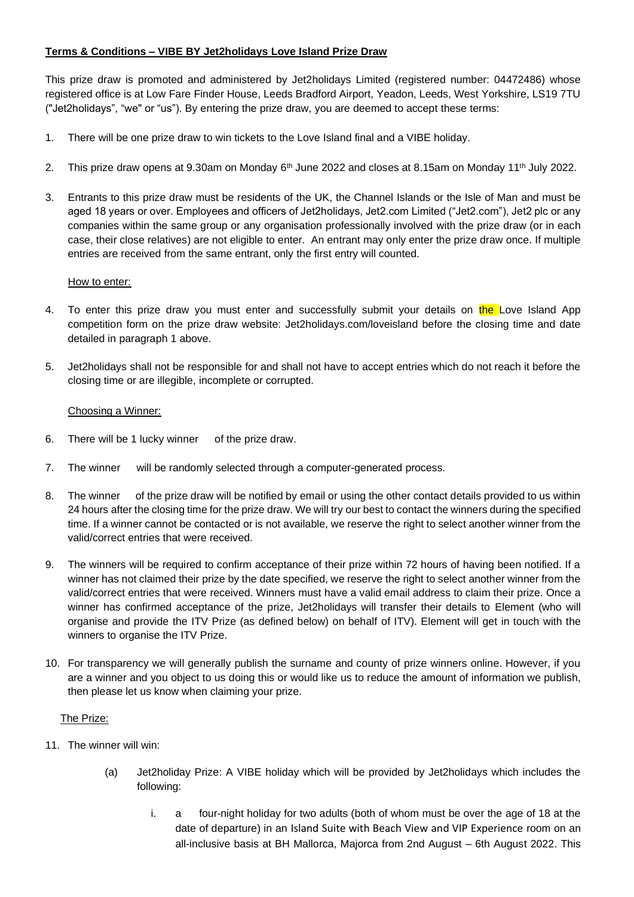# **Terms & Conditions – VIBE BY Jet2holidays Love Island Prize Draw**

This prize draw is promoted and administered by Jet2holidays Limited (registered number: 04472486) whose registered office is at Low Fare Finder House, Leeds Bradford Airport, Yeadon, Leeds, West Yorkshire, LS19 7TU ("Jet2holidays", "we" or "us"). By entering the prize draw, you are deemed to accept these terms:

- 1. There will be one prize draw to win tickets to the Love Island final and a VIBE holiday.
- 2. This prize draw opens at 9.30am on Monday 6<sup>th</sup> June 2022 and closes at 8.15am on Monday 11<sup>th</sup> July 2022.
- 3. Entrants to this prize draw must be residents of the UK, the Channel Islands or the Isle of Man and must be aged 18 years or over. Employees and officers of Jet2holidays, Jet2.com Limited ("Jet2.com"), Jet2 plc or any companies within the same group or any organisation professionally involved with the prize draw (or in each case, their close relatives) are not eligible to enter. An entrant may only enter the prize draw once. If multiple entries are received from the same entrant, only the first entry will counted.

## How to enter:

- 4. To enter this prize draw you must enter and successfully submit your details on the Love Island App competition form on the prize draw website: Jet2holidays.com/loveisland before the closing time and date detailed in paragraph 1 above.
- 5. Jet2holidays shall not be responsible for and shall not have to accept entries which do not reach it before the closing time or are illegible, incomplete or corrupted.

## Choosing a Winner:

- 6. There will be 1 lucky winner of the prize draw.
- 7. The winner will be randomly selected through a computer-generated process.
- 8. The winner of the prize draw will be notified by email or using the other contact details provided to us within 24 hours after the closing time for the prize draw. We will try our best to contact the winners during the specified time. If a winner cannot be contacted or is not available, we reserve the right to select another winner from the valid/correct entries that were received.
- 9. The winners will be required to confirm acceptance of their prize within 72 hours of having been notified. If a winner has not claimed their prize by the date specified, we reserve the right to select another winner from the valid/correct entries that were received. Winners must have a valid email address to claim their prize. Once a winner has confirmed acceptance of the prize, Jet2holidays will transfer their details to Element (who will organise and provide the ITV Prize (as defined below) on behalf of ITV). Element will get in touch with the winners to organise the ITV Prize.
- 10. For transparency we will generally publish the surname and county of prize winners online. However, if you are a winner and you object to us doing this or would like us to reduce the amount of information we publish, then please let us know when claiming your prize.

#### The Prize:

- 11. The winner will win:
	- (a) Jet2holiday Prize: A VIBE holiday which will be provided by Jet2holidays which includes the following:
		- i. a four-night holiday for two adults (both of whom must be over the age of 18 at the date of departure) in an Island Suite with Beach View and VIP Experience room on an all-inclusive basis at BH Mallorca, Majorca from 2nd August – 6th August 2022. This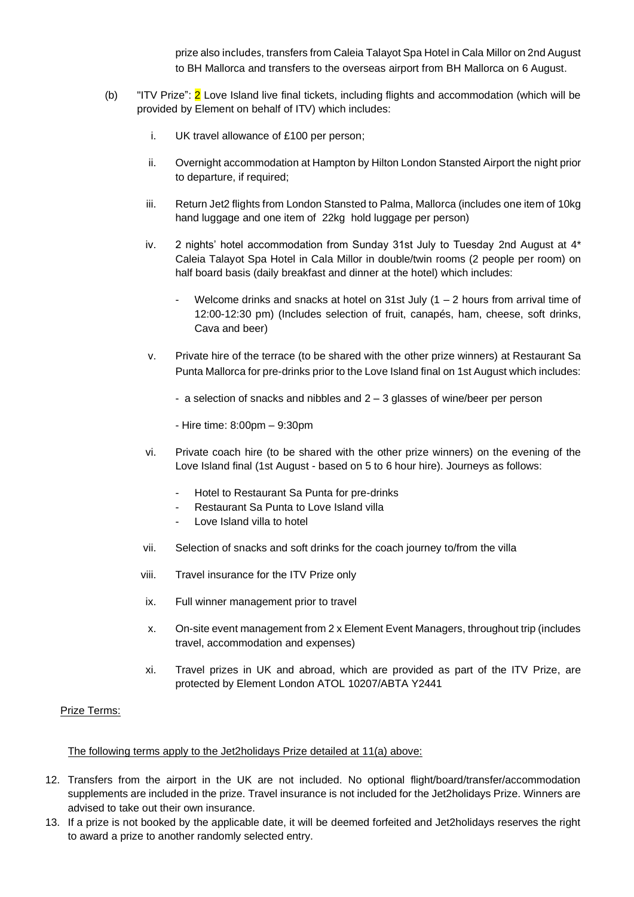prize alsoincludes, transfers fro[m Caleia Talayot Spa Hotel](https://www.caleiatalayotspahotel.com/) in Cala Millor on 2nd August to BH Mallorca and transfers to the overseas airport from BH Mallorca on 6 August.

- (b) "ITV Prize": 2 Love Island live final tickets, including flights and accommodation (which will be provided by Element on behalf of ITV) which includes:
	- i. UK travel allowance of £100 per person;
	- ii. Overnight accommodation at Hampton by Hilton London Stansted Airport the night prior to departure, if required;
	- iii. Return Jet2 flights from London Stansted to Palma, Mallorca (includes one item of 10kg hand luggage and one item of 22kg hold luggage per person)
	- iv. 2 nights' hotel accommodation from Sunday 31st July to Tuesday 2nd August at [4\\*](https://www.caleiatalayotspahotel.com/)  [Caleia Talayot Spa Hotel](https://www.caleiatalayotspahotel.com/) in Cala Millor in double/twin rooms (2 people per room) on half board basis (daily breakfast and dinner at the hotel) which includes:
		- Welcome drinks and snacks at hotel on 31st July (1 2 hours from arrival time of 12:00-12:30 pm) (Includes selection of fruit, canapés, ham, cheese, soft drinks, Cava and beer)
	- v. Private hire of the terrace (to be shared with the other prize winners) at Restaurant Sa Punta Mallorca for pre-drinks prior to the Love Island final on 1st August which includes:
		- a selection of snacks and nibbles and 2 3 glasses of wine/beer per person
		- Hire time: 8:00pm 9:30pm
	- vi. Private coach hire (to be shared with the other prize winners) on the evening of the Love Island final (1st August - based on 5 to 6 hour hire). Journeys as follows:
		- Hotel to Restaurant Sa Punta for pre-drinks
		- Restaurant Sa Punta to Love Island villa
		- Love Island villa to hotel
	- vii. Selection of snacks and soft drinks for the coach journey to/from the villa
	- viii. Travel insurance for the ITV Prize only
	- ix. Full winner management prior to travel
	- x. On-site event management from 2 x Element Event Managers, throughout trip (includes travel, accommodation and expenses)
	- xi. Travel prizes in UK and abroad, which are provided as part of the ITV Prize, are protected by Element London ATOL 10207/ABTA Y2441

#### Prize Terms:

### The following terms apply to the Jet2holidays Prize detailed at 11(a) above:

- 12. Transfers from the airport in the UK are not included. No optional flight/board/transfer/accommodation supplements are included in the prize. Travel insurance is not included for the Jet2holidays Prize. Winners are advised to take out their own insurance.
- 13. If a prize is not booked by the applicable date, it will be deemed forfeited and Jet2holidays reserves the right to award a prize to another randomly selected entry.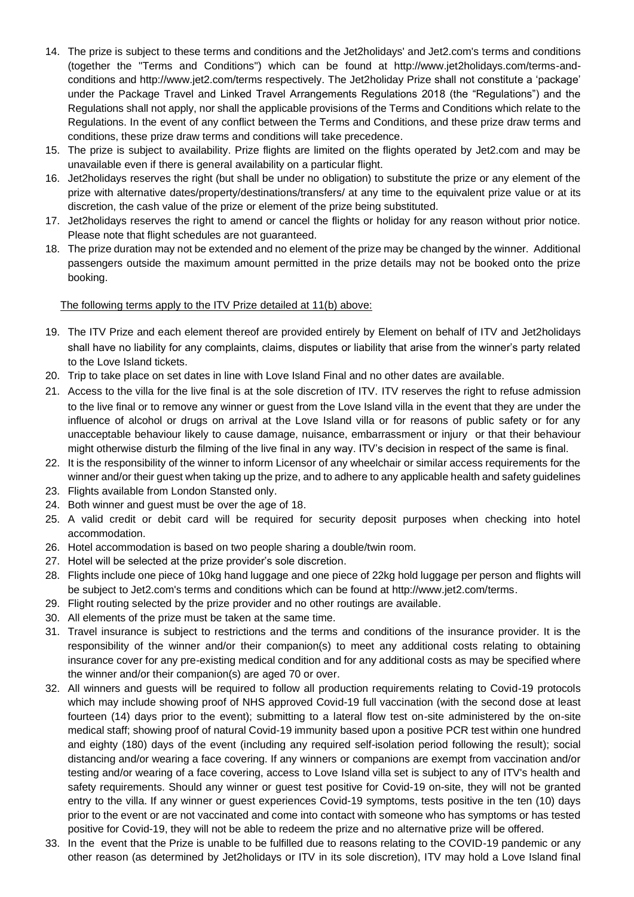- 14. The prize is subject to these terms and conditions and the Jet2holidays' and Jet2.com's terms and conditions (together the "Terms and Conditions") which can be found at http://www.jet2holidays.com/terms-andconditions and http://www.jet2.com/terms respectively. The Jet2holiday Prize shall not constitute a 'package' under the Package Travel and Linked Travel Arrangements Regulations 2018 (the "Regulations") and the Regulations shall not apply, nor shall the applicable provisions of the Terms and Conditions which relate to the Regulations. In the event of any conflict between the Terms and Conditions, and these prize draw terms and conditions, these prize draw terms and conditions will take precedence.
- 15. The prize is subject to availability. Prize flights are limited on the flights operated by Jet2.com and may be unavailable even if there is general availability on a particular flight.
- 16. Jet2holidays reserves the right (but shall be under no obligation) to substitute the prize or any element of the prize with alternative dates/property/destinations/transfers/ at any time to the equivalent prize value or at its discretion, the cash value of the prize or element of the prize being substituted.
- 17. Jet2holidays reserves the right to amend or cancel the flights or holiday for any reason without prior notice. Please note that flight schedules are not guaranteed.
- 18. The prize duration may not be extended and no element of the prize may be changed by the winner. Additional passengers outside the maximum amount permitted in the prize details may not be booked onto the prize booking.

## The following terms apply to the ITV Prize detailed at 11(b) above:

- 19. The ITV Prize and each element thereof are provided entirely by Element on behalf of ITV and Jet2holidays shall have no liability for any complaints, claims, disputes or liability that arise from the winner's party related to the Love Island tickets.
- 20. Trip to take place on set dates in line with Love Island Final and no other dates are available.
- 21. Access to the villa for the live final is at the sole discretion of ITV. ITV reserves the right to refuse admission to the live final or to remove any winner or guest from the Love Island villa in the event that they are under the influence of alcohol or drugs on arrival at the Love Island villa or for reasons of public safety or for any unacceptable behaviour likely to cause damage, nuisance, embarrassment or injury or that their behaviour might otherwise disturb the filming of the live final in any way. ITV's decision in respect of the same is final.
- 22. It is the responsibility of the winner to inform Licensor of any wheelchair or similar access requirements for the winner and/or their guest when taking up the prize, and to adhere to any applicable health and safety guidelines
- 23. Flights available from London Stansted only.
- 24. Both winner and guest must be over the age of 18.
- 25. A valid credit or debit card will be required for security deposit purposes when checking into hotel accommodation.
- 26. Hotel accommodation is based on two people sharing a double/twin room.
- 27. Hotel will be selected at the prize provider's sole discretion.
- 28. Flights include one piece of 10kg hand luggage and one piece of 22kg hold luggage per person and flights will be subject to Jet2.com's terms and conditions which can be found at http://www.jet2.com/terms.
- 29. Flight routing selected by the prize provider and no other routings are available.
- 30. All elements of the prize must be taken at the same time.
- 31. Travel insurance is subject to restrictions and the terms and conditions of the insurance provider. It is the responsibility of the winner and/or their companion(s) to meet any additional costs relating to obtaining insurance cover for any pre-existing medical condition and for any additional costs as may be specified where the winner and/or their companion(s) are aged 70 or over.
- 32. All winners and guests will be required to follow all production requirements relating to Covid-19 protocols which may include showing proof of NHS approved Covid-19 full vaccination (with the second dose at least fourteen (14) days prior to the event); submitting to a lateral flow test on-site administered by the on-site medical staff; showing proof of natural Covid-19 immunity based upon a positive PCR test within one hundred and eighty (180) days of the event (including any required self-isolation period following the result); social distancing and/or wearing a face covering. If any winners or companions are exempt from vaccination and/or testing and/or wearing of a face covering, access to Love Island villa set is subject to any of ITV's health and safety requirements. Should any winner or guest test positive for Covid-19 on-site, they will not be granted entry to the villa. If any winner or guest experiences Covid-19 symptoms, tests positive in the ten (10) days prior to the event or are not vaccinated and come into contact with someone who has symptoms or has tested positive for Covid-19, they will not be able to redeem the prize and no alternative prize will be offered.
- 33. In the event that the Prize is unable to be fulfilled due to reasons relating to the COVID-19 pandemic or any other reason (as determined by Jet2holidays or ITV in its sole discretion), ITV may hold a Love Island final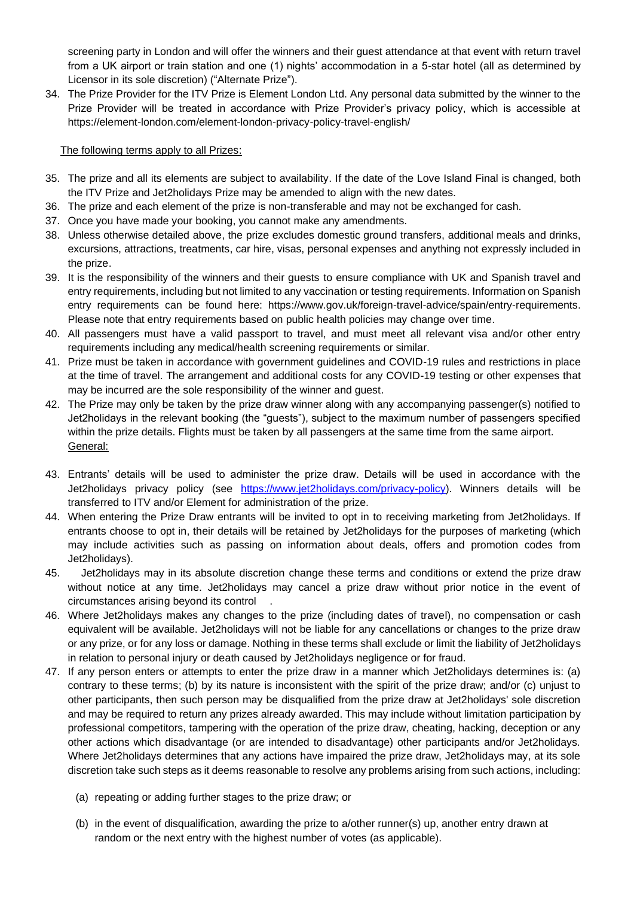screening party in London and will offer the winners and their guest attendance at that event with return travel from a UK airport or train station and one (1) nights' accommodation in a 5-star hotel (all as determined by Licensor in its sole discretion) ("Alternate Prize").

34. The Prize Provider for the ITV Prize is Element London Ltd. Any personal data submitted by the winner to the Prize Provider will be treated in accordance with Prize Provider's privacy policy, which is accessible at <https://element-london.com/element-london-privacy-policy-travel-english/>

## The following terms apply to all Prizes:

- 35. The prize and all its elements are subject to availability. If the date of the Love Island Final is changed, both the ITV Prize and Jet2holidays Prize may be amended to align with the new dates.
- 36. The prize and each element of the prize is non-transferable and may not be exchanged for cash.
- 37. Once you have made your booking, you cannot make any amendments.
- 38. Unless otherwise detailed above, the prize excludes domestic ground transfers, additional meals and drinks, excursions, attractions, treatments, car hire, visas, personal expenses and anything not expressly included in the prize.
- 39. It is the responsibility of the winners and their guests to ensure compliance with UK and Spanish travel and entry requirements, including but not limited to any vaccination or testing requirements. Information on Spanish entry requirements can be found here: https://www.gov.uk/foreign-travel-advice/spain/entry-requirements. Please note that entry requirements based on public health policies may change over time.
- 40. All passengers must have a valid passport to travel, and must meet all relevant visa and/or other entry requirements including any medical/health screening requirements or similar.
- 41. Prize must be taken in accordance with government guidelines and COVID-19 rules and restrictions in place at the time of travel. The arrangement and additional costs for any COVID-19 testing or other expenses that may be incurred are the sole responsibility of the winner and guest.
- 42. The Prize may only be taken by the prize draw winner along with any accompanying passenger(s) notified to Jet2holidays in the relevant booking (the "guests"), subject to the maximum number of passengers specified within the prize details. Flights must be taken by all passengers at the same time from the same airport. General:
- 43. Entrants' details will be used to administer the prize draw. Details will be used in accordance with the Jet2holidays privacy policy (see [https://www.jet2holidays.com/privacy-policy\)](https://www.jet2holidays.com/privacy-policy). Winners details will be transferred to ITV and/or Element for administration of the prize.
- 44. When entering the Prize Draw entrants will be invited to opt in to receiving marketing from Jet2holidays. If entrants choose to opt in, their details will be retained by Jet2holidays for the purposes of marketing (which may include activities such as passing on information about deals, offers and promotion codes from Jet2holidays).
- 45. Jet2holidays may in its absolute discretion change these terms and conditions or extend the prize draw without notice at any time. Jet2holidays may cancel a prize draw without prior notice in the event of circumstances arising beyond its control .
- 46. Where Jet2holidays makes any changes to the prize (including dates of travel), no compensation or cash equivalent will be available. Jet2holidays will not be liable for any cancellations or changes to the prize draw or any prize, or for any loss or damage. Nothing in these terms shall exclude or limit the liability of Jet2holidays in relation to personal injury or death caused by Jet2holidays negligence or for fraud.
- 47. If any person enters or attempts to enter the prize draw in a manner which Jet2holidays determines is: (a) contrary to these terms; (b) by its nature is inconsistent with the spirit of the prize draw; and/or (c) unjust to other participants, then such person may be disqualified from the prize draw at Jet2holidays' sole discretion and may be required to return any prizes already awarded. This may include without limitation participation by professional competitors, tampering with the operation of the prize draw, cheating, hacking, deception or any other actions which disadvantage (or are intended to disadvantage) other participants and/or Jet2holidays. Where Jet2holidays determines that any actions have impaired the prize draw, Jet2holidays may, at its sole discretion take such steps as it deems reasonable to resolve any problems arising from such actions, including:
	- (a) repeating or adding further stages to the prize draw; or
	- (b) in the event of disqualification, awarding the prize to a/other runner(s) up, another entry drawn at random or the next entry with the highest number of votes (as applicable).